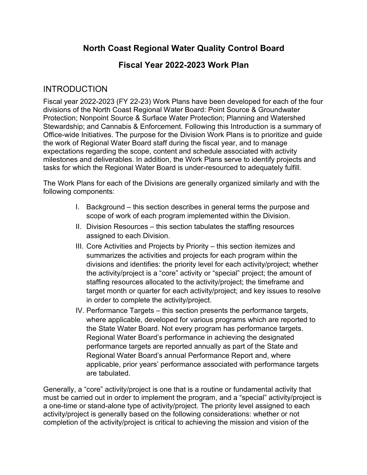# **North Coast Regional Water Quality Control Board**

### **Fiscal Year 2022-2023 Work Plan**

### **INTRODUCTION**

Fiscal year 2022-2023 (FY 22-23) Work Plans have been developed for each of the four divisions of the North Coast Regional Water Board: Point Source & Groundwater Protection; Nonpoint Source & Surface Water Protection; Planning and Watershed Stewardship; and Cannabis & Enforcement. Following this Introduction is a summary of Office-wide Initiatives. The purpose for the Division Work Plans is to prioritize and guide the work of Regional Water Board staff during the fiscal year, and to manage expectations regarding the scope, content and schedule associated with activity milestones and deliverables. In addition, the Work Plans serve to identify projects and tasks for which the Regional Water Board is under-resourced to adequately fulfill.

The Work Plans for each of the Divisions are generally organized similarly and with the following components:

- I. Background this section describes in general terms the purpose and scope of work of each program implemented within the Division.
- II. Division Resources this section tabulates the staffing resources assigned to each Division.
- III. Core Activities and Projects by Priority this section itemizes and summarizes the activities and projects for each program within the divisions and identifies: the priority level for each activity/project; whether the activity/project is a "core" activity or "special" project; the amount of staffing resources allocated to the activity/project; the timeframe and target month or quarter for each activity/project; and key issues to resolve in order to complete the activity/project.
- IV. Performance Targets this section presents the performance targets, where applicable, developed for various programs which are reported to the State Water Board. Not every program has performance targets. Regional Water Board's performance in achieving the designated performance targets are reported annually as part of the State and Regional Water Board's annual Performance Report and, where applicable, prior years' performance associated with performance targets are tabulated.

Generally, a "core" activity/project is one that is a routine or fundamental activity that must be carried out in order to implement the program, and a "special" activity/project is a one-time or stand-alone type of activity/project. The priority level assigned to each activity/project is generally based on the following considerations: whether or not completion of the activity/project is critical to achieving the mission and vision of the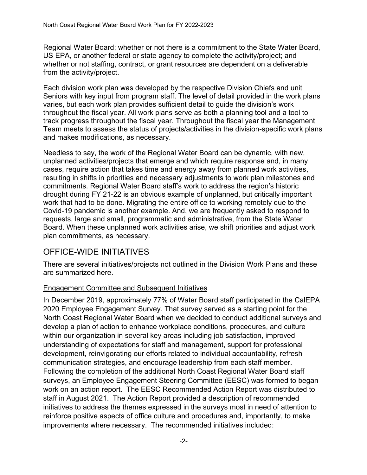Regional Water Board; whether or not there is a commitment to the State Water Board, US EPA, or another federal or state agency to complete the activity/project; and whether or not staffing, contract, or grant resources are dependent on a deliverable from the activity/project.

Each division work plan was developed by the respective Division Chiefs and unit Seniors with key input from program staff. The level of detail provided in the work plans varies, but each work plan provides sufficient detail to guide the division's work throughout the fiscal year. All work plans serve as both a planning tool and a tool to track progress throughout the fiscal year. Throughout the fiscal year the Management Team meets to assess the status of projects/activities in the division-specific work plans and makes modifications, as necessary.

Needless to say, the work of the Regional Water Board can be dynamic, with new, unplanned activities/projects that emerge and which require response and, in many cases, require action that takes time and energy away from planned work activities, resulting in shifts in priorities and necessary adjustments to work plan milestones and commitments. Regional Water Board staff's work to address the region's historic drought during FY 21-22 is an obvious example of unplanned, but critically important work that had to be done. Migrating the entire office to working remotely due to the Covid-19 pandemic is another example. And, we are frequently asked to respond to requests, large and small, programmatic and administrative, from the State Water Board. When these unplanned work activities arise, we shift priorities and adjust work plan commitments, as necessary.

## OFFICE-WIDE INITIATIVES

There are several initiatives/projects not outlined in the Division Work Plans and these are summarized here.

#### Engagement Committee and Subsequent Initiatives

In December 2019, approximately 77% of Water Board staff participated in the CalEPA 2020 Employee Engagement Survey. That survey served as a starting point for the North Coast Regional Water Board when we decided to conduct additional surveys and develop a plan of action to enhance workplace conditions, procedures, and culture within our organization in several key areas including job satisfaction, improved understanding of expectations for staff and management, support for professional development, reinvigorating our efforts related to individual accountability, refresh communication strategies, and encourage leadership from each staff member. Following the completion of the additional North Coast Regional Water Board staff surveys, an Employee Engagement Steering Committee (EESC) was formed to began work on an action report. The EESC Recommended Action Report was distributed to staff in August 2021. The Action Report provided a description of recommended initiatives to address the themes expressed in the surveys most in need of attention to reinforce positive aspects of office culture and procedures and, importantly, to make improvements where necessary. The recommended initiatives included: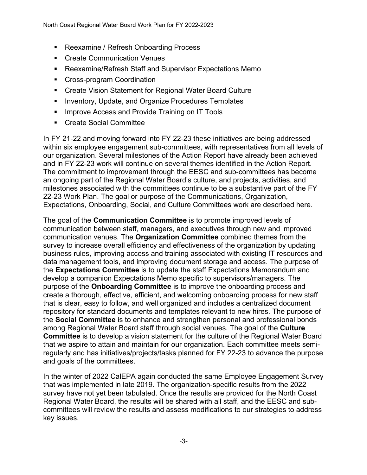- Reexamine / Refresh Onboarding Process
- Create Communication Venues
- Reexamine/Refresh Staff and Supervisor Expectations Memo
- Cross-program Coordination
- Create Vision Statement for Regional Water Board Culture
- § Inventory, Update, and Organize Procedures Templates
- Improve Access and Provide Training on IT Tools
- Create Social Committee

In FY 21-22 and moving forward into FY 22-23 these initiatives are being addressed within six employee engagement sub-committees, with representatives from all levels of our organization. Several milestones of the Action Report have already been achieved and in FY 22-23 work will continue on several themes identified in the Action Report. The commitment to improvement through the EESC and sub-committees has become an ongoing part of the Regional Water Board's culture, and projects, activities, and milestones associated with the committees continue to be a substantive part of the FY 22-23 Work Plan. The goal or purpose of the Communications, Organization, Expectations, Onboarding, Social, and Culture Committees work are described here.

The goal of the **Communication Committee** is to promote improved levels of communication between staff, managers, and executives through new and improved communication venues. The **Organization Committee** combined themes from the survey to increase overall efficiency and effectiveness of the organization by updating business rules, improving access and training associated with existing IT resources and data management tools, and improving document storage and access. The purpose of the **Expectations Committee** is to update the staff Expectations Memorandum and develop a companion Expectations Memo specific to supervisors/managers. The purpose of the **Onboarding Committee** is to improve the onboarding process and create a thorough, effective, efficient, and welcoming onboarding process for new staff that is clear, easy to follow, and well organized and includes a centralized document repository for standard documents and templates relevant to new hires. The purpose of the **Social Committee** is to enhance and strengthen personal and professional bonds among Regional Water Board staff through social venues. The goal of the **Culture Committee** is to develop a vision statement for the culture of the Regional Water Board that we aspire to attain and maintain for our organization. Each committee meets semiregularly and has initiatives/projects/tasks planned for FY 22-23 to advance the purpose and goals of the committees.

In the winter of 2022 CalEPA again conducted the same Employee Engagement Survey that was implemented in late 2019. The organization-specific results from the 2022 survey have not yet been tabulated. Once the results are provided for the North Coast Regional Water Board, the results will be shared with all staff, and the EESC and subcommittees will review the results and assess modifications to our strategies to address key issues.